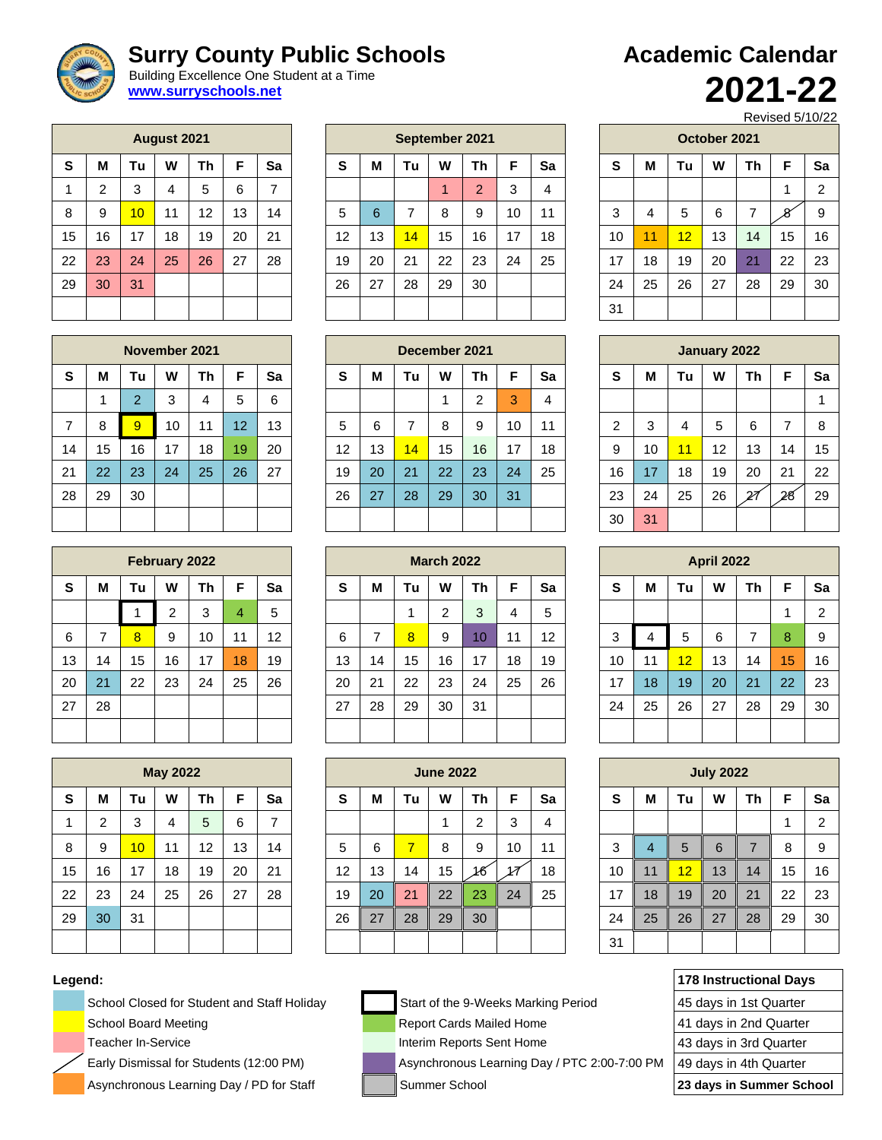## **Surry County Public Schools**

 Building Excellence One Student at a Time **[www.surryschools.net](http://www.surryschools.net/)**

|    |    |    | August 2021    |    |    |    |
|----|----|----|----------------|----|----|----|
| S  | М  | Τu | W              | Th | F  | Sa |
| 1  | 2  | 3  | $\overline{4}$ | 5  | 6  | 7  |
| 8  | 9  | 10 | 11             | 12 | 13 | 14 |
| 15 | 16 | 17 | 18             | 19 | 20 | 21 |
| 22 | 23 | 24 | 25             | 26 | 27 | 28 |
| 29 | 30 | 31 |                |    |    |    |
|    |    |    |                |    |    |    |

|    |    |    | August 2021 |                   |    |    | September 2021 |    |    |    |                |    |    |    |    |    | October 2021 |    |         |    |
|----|----|----|-------------|-------------------|----|----|----------------|----|----|----|----------------|----|----|----|----|----|--------------|----|---------|----|
| S  | M  | Tu | W           | Τh                | F  | Sa | S              | M  | Tu | W  | Τh             | F  | Sa | S  | M  | Τu | W            | Th | F       | Sa |
| 1  | C  | 3  | 4           | 5                 | 6  | 7  |                |    |    |    | $\overline{2}$ | 3  | 4  |    |    |    |              |    |         | 2  |
| 8  | 9  | 10 | 11          | $12 \overline{ }$ | 13 | 14 | 5              | 6  | ⇁  | 8  | 9              | 10 | 11 | 3  | 4  | 5  | 6            |    | $\circ$ | 9  |
| 15 | 16 | 17 | 18          | 19                | 20 | 21 | 12             | 13 | 14 | 15 | 16             | 17 | 18 | 10 | 11 | 12 | 13           | 14 | 15      | 16 |
| 22 | 23 | 24 | 25          | 26                | 27 | 28 | 19             | 20 | 21 | 22 | 23             | 24 | 25 | 17 | 18 | 19 | 20           | 21 | 22      | 23 |
| 29 | 30 | 31 |             |                   |    |    | 26             | 27 | 28 | 29 | 30             |    |    | 24 | 25 | 26 | 27           | 28 | 29      | 30 |
|    |    |    |             |                   |    |    |                |    |    |    |                |    |    | 31 |    |    |              |    |         |    |

| <b>Academic Calendar</b> |         |  |
|--------------------------|---------|--|
|                          | 2021-22 |  |

Revised 5/10/22

|    |    |    | October 2021 |    |    |                |
|----|----|----|--------------|----|----|----------------|
| S  | M  | Tu | w            | Th | F  | Sa             |
|    |    |    |              |    | 1  | $\overline{2}$ |
| 3  | 4  | 5  | 6            | 7  |    | 9              |
| 10 | 11 | 12 | 13           | 14 | 15 | 16             |
| 17 | 18 | 19 | 20           | 21 | 22 | 23             |
| 24 | 25 | 26 | 27           | 28 | 29 | 30             |
| 31 |    |    |              |    |    |                |

|    | November 2021 |                |    |    |                 |    | December 2021     |    |                 |    |        |    |    |    |    |    | January 2022 |    |    |    |
|----|---------------|----------------|----|----|-----------------|----|-------------------|----|-----------------|----|--------|----|----|----|----|----|--------------|----|----|----|
| S  | M             | Tu             | W  | Τh | F               | Sa | S                 | M  | Τu              | W  | Τh     | F  | Sa | S  | M  | Tu | W            | Τh | F  | Sa |
|    |               | $\overline{2}$ | 3  | 4  | 5               | 6  |                   |    |                 |    | ົ<br>∠ | 3  | 4  |    |    |    |              |    |    |    |
| 7  | 8             | 9              | 10 | 11 | 12 <sup>1</sup> | 13 | 5                 | 6  |                 | 8  | 9      | 10 | 11 | ◠  | 3  | 4  | 5            | 6  | ⇁  | 8  |
| 14 | 15            | 16             | 17 | 18 | 19              | 20 | $12 \overline{ }$ | 13 | $\overline{14}$ | 15 | 16     | 17 | 18 | 9  | 10 | 11 | 12           | 13 | 14 | 15 |
| 21 | 22            | 23             | 24 | 25 | 26              | 27 | 19                | 20 | 21              | 22 | 23     | 24 | 25 | 16 | 17 | 18 | 19           | 20 | 21 | 22 |
| 28 | 29            | 30             |    |    |                 |    | 26                | 27 | 28              | 29 | 30     | 31 |    | 23 | 24 | 25 | 26           | 27 | 28 | 29 |
|    |               |                |    |    |                 |    |                   |    |                 |    |        |    |    | 30 | 31 |    |              |    |    |    |

|    | February 2022 |    |                |    |    |    |          | <b>March 2022</b> |    |        |    |    |    |  |    |    |                 | <b>April 2022</b> |           |    |    |
|----|---------------|----|----------------|----|----|----|----------|-------------------|----|--------|----|----|----|--|----|----|-----------------|-------------------|-----------|----|----|
| S  | M             | Tu | W              | Τh | F  | Sa | <b>S</b> | M                 | Tu | W      | Th |    | Sa |  | S  | M  | Tu              | W                 | <b>Th</b> | F  | Sa |
|    |               |    | $\overline{2}$ | 3  | 4  | 5  |          |                   |    | $\sim$ | 3  | 4  | 5  |  |    |    |                 |                   |           |    | ົ  |
| 6  |               | 8  | 9              | 10 | 11 | 12 | 6        | ⇁                 | 8  | 9      | 10 | 11 | 12 |  | 3  | 4  | 5               | 6                 | ⇁         | 8  | 9  |
| 13 | 14            | 15 | 16             | 17 | 18 | 19 | 13       | 14                | 15 | 16     | 17 | 18 | 19 |  | 10 | 11 | $\overline{12}$ | 13                | 14        | 15 | 16 |
| 20 | 21            | 22 | 23             | 24 | 25 | 26 | 20       | 21                | 22 | 23     | 24 | 25 | 26 |  | 17 | 18 | 19              | 20                | 21        | 22 | 23 |
| 27 | 28            |    |                |    |    |    | 27       | 28                | 29 | 30     | 31 |    |    |  | 24 | 25 | 26              | 27                | 28        | 29 | 30 |
|    |               |    |                |    |    |    |          |                   |    |        |    |    |    |  |    |    |                 |                   |           |    |    |

| <b>July 2022</b> |                |    |                 |                |    |                |  |  |  |
|------------------|----------------|----|-----------------|----------------|----|----------------|--|--|--|
| $\mathbf s$      | M              | Tu | W               | Th             | F  | Sa             |  |  |  |
|                  |                |    |                 |                | 1  | $\overline{2}$ |  |  |  |
| 3                | $\overline{4}$ | 5  | $6\phantom{1}6$ | $\overline{7}$ | 8  | 9              |  |  |  |
| 10               | 11             | 12 | 13              | 14             | 15 | 16             |  |  |  |
| 17               | 18             | 19 | 20              | 21             | 22 | 23             |  |  |  |
| 24               | 25             | 26 | 27              | 28             | 29 | 30             |  |  |  |
| 31               |                |    |                 |                |    |                |  |  |  |

| Legend: |                                             |                                              | 178 Instructional Days   |
|---------|---------------------------------------------|----------------------------------------------|--------------------------|
|         | School Closed for Student and Staff Holiday | Start of the 9-Weeks Marking Period          | 45 days in 1st Quarter   |
|         | School Board Meeting                        | <b>Report Cards Mailed Home</b>              | 41 days in 2nd Quarter   |
|         | Teacher In-Service                          | Interim Reports Sent Home                    | 43 days in 3rd Quarter   |
|         | Early Dismissal for Students (12:00 PM)     | Asynchronous Learning Day / PTC 2:00-7:00 PM | 49 days in 4th Quarter   |
|         | Asynchronous Learning Day / PD for Staff    | Summer School                                | 23 days in Summer School |

|    |    |                | November 2021 |    |    |    |
|----|----|----------------|---------------|----|----|----|
| S  | M  | Tu             | w             | Th | F  | Sa |
|    | 1  | $\overline{2}$ | 3             | 4  | 5  | 6  |
| 7  | 8  | 9              | 10            | 11 | 12 | 13 |
| 14 | 15 | 16             | 17            | 18 | 19 | 20 |
| 21 | 22 | 23             | 24            | 25 | 26 | 27 |
| 28 | 29 | 30             |               |    |    |    |
|    |    |                |               |    |    |    |

|    |    |    | February 2022 |    |                |    |
|----|----|----|---------------|----|----------------|----|
| S  | M  | Tu | w             | Τh | F              | Sa |
|    |    | 1  | 2             | 3  | $\overline{4}$ | 5  |
| 6  | 7  | 8  | 9             | 10 | 11             | 12 |
| 13 | 14 | 15 | 16            | 17 | 18             | 19 |
| 20 | 21 | 22 | 23            | 24 | 25             | 26 |
| 27 | 28 |    |               |    |                |    |
|    |    |    |               |    |                |    |

|    |                |    | <b>May 2022</b> |    |    |    |
|----|----------------|----|-----------------|----|----|----|
| S  | M              | Tu | W               | Th | F  | Sa |
| 1  | $\overline{2}$ | 3  | $\overline{4}$  | 5  | 6  | 7  |
| 8  | 9              | 10 | 11              | 12 | 13 | 14 |
| 15 | 16             | 17 | 18              | 19 | 20 | 21 |
| 22 | 23             | 24 | 25              | 26 | 27 | 28 |
| 29 | 30             | 31 |                 |    |    |    |
|    |                |    |                 |    |    |    |



| Start of the 9-Weeks |
|----------------------|
| Report Cards Mailed  |

| Sch  |
|------|
| Tea  |
| Earl |